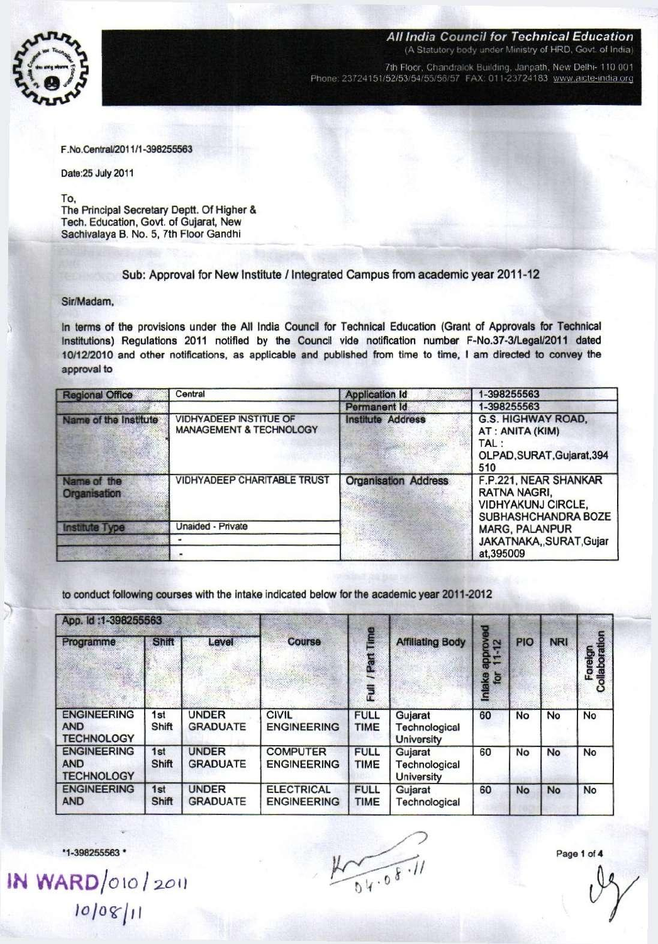

**7th Floor. Chandralok Building. Janpath, New Delhi- 110 001 Phone: 23724151/52/53/54/55/56/57 FAX 011-23724183 [www.aicte-mdia.ora](http://www.aicte-mdia.ora)** 

F.No.Central/2011/1 -398255563

Date:25 July 2011

To.

The Principal Secretary Deptt. Of Higher & Tech, Education, Govt, of Gujarat, New Sachivalaya B. No. 5, 7th Floor Gandhi

Sub: Approval for New Institute / Integrated Campus from academic year 2011-12

## Sir/Madam,

In terms of the provisions under the All India Council for Technical Education (Grant of Approvals for Technical Institutions) Regulations 2011 notified by the Council vide notification number F-No.37-3/Legal/2011 dated 10/12/2010 and other notifications, as applicable and published from time to time, I am directed to convey the approval to

| <b>Regional Office</b>      | Central                                                             | <b>Application Id</b>       | 1-398255563                                                                                |  |  |
|-----------------------------|---------------------------------------------------------------------|-----------------------------|--------------------------------------------------------------------------------------------|--|--|
|                             |                                                                     | Permanent Id                | 1-398255563                                                                                |  |  |
| Name of the Institute       | <b>VIDHYADEEP INSTITUE OF</b><br><b>MANAGEMENT &amp; TECHNOLOGY</b> | <b>Institute Address</b>    | <b>G.S. HIGHWAY ROAD,</b><br>AT: ANITA (KIM)<br>TAL :<br>OLPAD, SURAT, Gujarat, 394<br>510 |  |  |
| Name of the<br>Organisation | <b>VIDHYADEEP CHARITABLE TRUST</b>                                  | <b>Organisation Address</b> | F.P.221, NEAR SHANKAR<br>RATNA NAGRI.<br><b>VIDHYAKUNJ CIRCLE.</b><br>SUBHASHCHANDRA BOZE  |  |  |
| <b>Institute Type</b>       | Unaided - Private                                                   |                             | <b>MARG, PALANPUR</b>                                                                      |  |  |
|                             |                                                                     |                             | JAKATNAKA, SURAT, Gujar                                                                    |  |  |
|                             |                                                                     |                             | at,395009                                                                                  |  |  |

to conduct following courses with the intake indicated below for the academic year 2011-2012

| App. 1d:1-398255563                                   |              |                                 |                                         |                            |                                               |                                 |            |            |                          |
|-------------------------------------------------------|--------------|---------------------------------|-----------------------------------------|----------------------------|-----------------------------------------------|---------------------------------|------------|------------|--------------------------|
| Programme                                             | Shift        | Level                           | <b>Course</b>                           | /Part Time                 | <b>Affiliating Body</b>                       | $\mathbf{r}$<br>approv<br>11-12 | <b>PIO</b> | <b>NRI</b> | Foreign<br>Collaboration |
|                                                       |              |                                 |                                         | $\overline{\overline{z}}$  |                                               | Intake<br>for                   |            |            |                          |
| <b>ENGINEERING</b><br><b>AND</b><br><b>TECHNOLOGY</b> | 1st<br>Shift | <b>UNDER</b><br><b>GRADUATE</b> | <b>CIVIL</b><br><b>ENGINEERING</b>      | <b>FULL</b><br><b>TIME</b> | Gujarat<br>Technological<br><b>University</b> | 60                              | No         | No         | No                       |
| <b>ENGINEERING</b><br><b>AND</b><br><b>TECHNOLOGY</b> | 1st<br>Shift | <b>UNDER</b><br><b>GRADUATE</b> | <b>COMPUTER</b><br><b>ENGINEERING</b>   | <b>FULL</b><br><b>TIME</b> | Gujarat<br>Technological<br>University        | 60                              | No         | <b>No</b>  | <b>No</b>                |
| <b>ENGINEERING</b><br><b>AND</b>                      | 1st<br>Shift | <b>UNDER</b><br><b>GRADUATE</b> | <b>ELECTRICAL</b><br><b>ENGINEERING</b> | <b>FULL</b><br><b>TIME</b> | Gujarat<br>Technological                      | 60                              | <b>No</b>  | <b>No</b>  | No                       |

•1-398255563 •

**IN WARD**/010/2011 *lojoirlii* 

 $\frac{1}{04.08.11}$ 

Page 1 of 4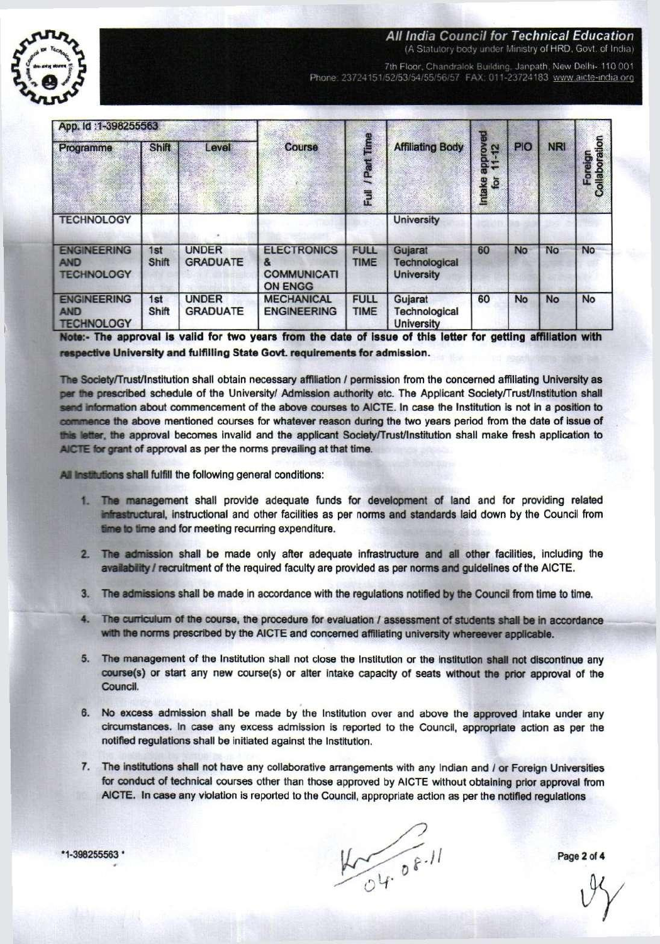

*All India Council for Technical Education* 

**(A Statutory oody under Ministry of HRD. Govt, of India)** 

**7th Floor, Chandralok Building. Janpath New Delhi- 110 001**  Phone: 23724151/52/53/54/55/56/57 FAX: 011-23724183 www.aicte-india.org

| App. Id:1-398255563                                   |              |                                 |                                                                 |                            |                                               | 몲                         |           |            |                          |
|-------------------------------------------------------|--------------|---------------------------------|-----------------------------------------------------------------|----------------------------|-----------------------------------------------|---------------------------|-----------|------------|--------------------------|
| Programme                                             | Shift        | Level                           | <b>Course</b>                                                   | / Part Time                | <b>Affiliating Body</b>                       | epprove<br>11-12<br>$-12$ | PIO       | <b>NRI</b> |                          |
|                                                       |              |                                 |                                                                 | Eull                       |                                               | Intake<br>for             |           |            | Foreign<br>Collaboration |
| <b>TECHNOLOGY</b>                                     |              |                                 |                                                                 |                            | <b>University</b>                             |                           |           |            |                          |
| <b>ENGINEERING</b><br><b>AND</b><br><b>TECHNOLOGY</b> | 1st<br>Shift | <b>UNDER</b><br><b>GRADUATE</b> | <b>ELECTRONICS</b><br>&<br><b>COMMUNICATI</b><br><b>ON ENGG</b> | <b>FULL</b><br><b>TIME</b> | Gujarat<br>Technological<br><b>University</b> | 60                        | <b>No</b> | No         | <b>No</b>                |
| <b>ENGINEERING</b><br><b>AND</b><br><b>TECHNOLOGY</b> | 1st<br>Shift | <b>UNDER</b><br><b>GRADUATE</b> | <b>MECHANICAL</b><br><b>ENGINEERING</b>                         | <b>FULL</b><br><b>TIME</b> | Gujarat<br>Technological<br><b>University</b> | 60                        | <b>No</b> | <b>No</b>  | <b>No</b>                |

Note:- **The approval is valid for two years from the date of issue of this letter for getting affiliation with**  respective University and fulfilling State Govt. requirements for admission.

The **Society**/Trust/Institution shall obtain necessary affiliation / permission from the concerned affiliating University **as**  per the prescribed schedule of the University/ Admission authority etc. The Applicant Society/Trust/Institution shall **• m l information** about commencement of the above courses **to** AICTE. In case the Institution Is not in a position to commence the above mentioned courses for whatever reason during the two years period from the date of issue of M s **letter, the** approval becomes Invalid and the applicant **Society**/Trust/Institution shall make fresh application to AICTE **for grant of** approval as per the norms prevailing at that time.

All institutions shall fulfill the following general conditions:

- 1. **The management** shall provide adequate funds for development of land and for providing related Mastuctural, instructional and other facilities as per norms **and** standards laid down by the Council from **fime to time and for meeting recurring expenditure.**
- 2. The **admission** shall be made only after adequate infrastructure **and all** other facilities, including the availability / recruitment of the required faculty are provided as per norms and guidelines of the AICTE.
- 3. The **admissions** shall be made in accordance with the regulations notified **by the** Council from time to time.
- 4. The **curriculum of the course,** the procedure for evaluation / **assessment** of **students shall be** in **accordance with the norms** prescribed by the AICTE and concerned affiliating university **whereever applicable.**
- 5. **The** management of the Institution shall not close the Institution or the Institution **shall not** discontinue any **course(s)** or start any new course(s) or alter intake capacity of seats without **the prior** approval of the Council.
- 6. **No** excess admission shall be made by the Institution over and above the approved intake under any circumstances. In case any excess admission is reported to the Council, appropriate action as per the notified regulations shall be initiated against the Institution.
- 7. The institutions shall not have any collaborative arrangements with any Indian and / or Foreign Universities for conduct of technical courses other than those approved by AICTE without obtaining prior approval from AICTE. In case any violation is reported to the Council, appropriate action as per the notified regulations

 $45.08.11$ 

Page 2 of 4

**•1-398255563 '**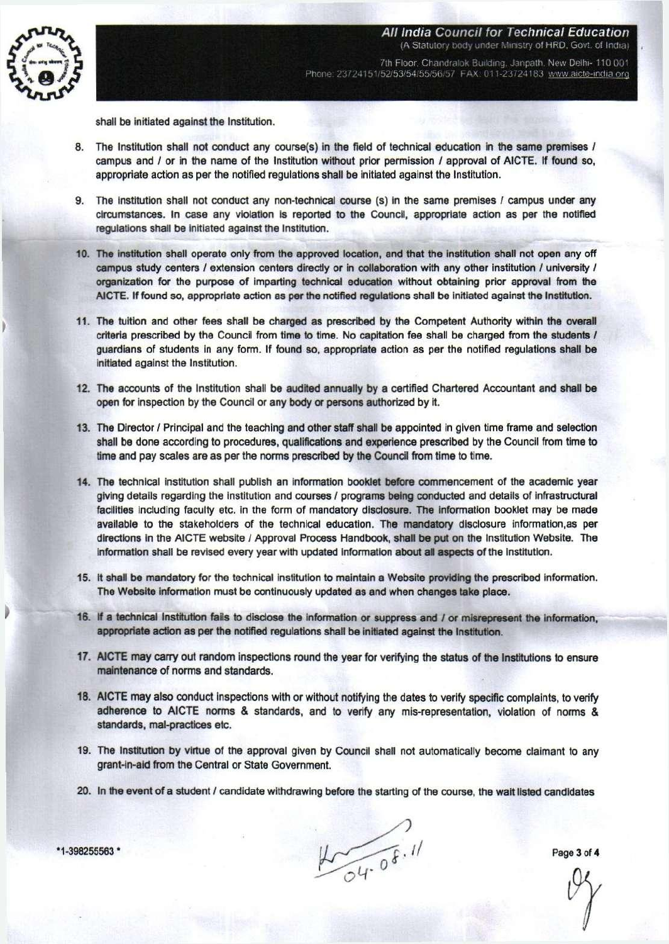

(A Statutory body under Ministry of HRD, Govt. of India) 7th Floor, Chandralok Building, Janpath, New Delhi- 110 001 Phone: 23724151/52/53/54/55/56/57 FAX: 011-23724183 www.aicte-india.org

**All India Council for Technical Education** 

shall be initiated against the Institution.

- **8.** The Institution shall not conduct any course(s) in the field of technical education in the same premises / campus and / or in the name of the Institution without prior permission / approval of AICTE. If found so, appropriate action as per the notified regulations shall be initiated against the Institution.
- 9. The institution shall not conduct any non-technical course (s) in the same premises / campus under any circumstances. In case any violation is reported to the Council, appropriate action as per the notified regulations shall be initiated against the Institution.
- 10. The institution shall operate only from the approved location, and that the institution shall not open any off campus study centers / extension centers directly or in collaboration with any other institution / university / organization for the purpose of imparling technical education without obtaining prior approval from the AICTE. If found so, appropriate action as per the notified regulations shall be initiated against the Institution.
- 11. The tuition and other fees shall be charged as prescribed by the Competent Authority within the overall criteria prescribed by the Council from time to time. No capitation fee shall be charged from the students / guardians of students In any form. If found so, appropriate action as per the notified regulations shall be initiated against the Institution.
- 12. The accounts of the Institution shall be audited annually by a certified Chartered Accountant and shall be open for inspection by the Council or any body or persons authorized by it.
- 13. The Director / Principal and the teaching and other staff shall be appointed in given time frame and selection shall be done according to procedures, qualifications and experience prescribed by the Council from time to time and pay scales are as per the norms prescribed by the Council from time to time.
- 14. The technical institution shall publish an information booklet before commencement of the academic year giving details regarding the institution and courses / programs being conducted and details of infrastructural facilities including faculty etc. in the form of mandatory disclosure. The information booklet may be made available to the stakeholders of the technical education. The mandatory disclosure information.as per directions in the AICTE website / Approval Process Handbook, shall be put on the Institution Website. The information shall be revised every year with updated information about all aspects of the institution.
- 15. It shall be mandatory for the technical institution to maintain a Website providing the prescribed information. The Website information must be continuously updated as and when changes take place.
- 16. If a technical Institution fails to disclose the information or suppress and / or misrepresent the information, appropriate action as per the notified regulations shall be initiated against the Institution.
- 17. AICTE may carry out random inspections round the year for verifying the status of the Institutions to ensure maintenance of norms and standards.
- 18. AICTE may also conduct inspections with or without notifying the dates to verify specific complaints, to verify adherence to AICTE norms & standards, and to verify any mis-representation, violation of norms & standards, mal-practices etc.
- 19. The Institution by virtue of the approval given by Council shall not automatically become claimant to any grant-in-aid from the Central or State Government.
- 20. In the event of a student / candidate withdrawing before the starting of the course, the wait listed candidates

**-398255563 \*** Page 3 **of** 4